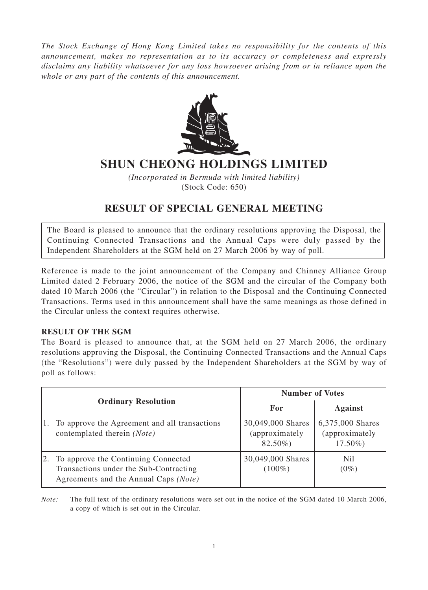*The Stock Exchange of Hong Kong Limited takes no responsibility for the contents of this announcement, makes no representation as to its accuracy or completeness and expressly disclaims any liability whatsoever for any loss howsoever arising from or in reliance upon the whole or any part of the contents of this announcement.*



## **SHUN CHEONG HOLDINGS LIMITED**

*(Incorporated in Bermuda with limited liability)* (Stock Code: 650)

## **RESULT OF SPECIAL GENERAL MEETING**

The Board is pleased to announce that the ordinary resolutions approving the Disposal, the Continuing Connected Transactions and the Annual Caps were duly passed by the Independent Shareholders at the SGM held on 27 March 2006 by way of poll.

Reference is made to the joint announcement of the Company and Chinney Alliance Group Limited dated 2 February 2006, the notice of the SGM and the circular of the Company both dated 10 March 2006 (the "Circular") in relation to the Disposal and the Continuing Connected Transactions. Terms used in this announcement shall have the same meanings as those defined in the Circular unless the context requires otherwise.

## **RESULT OF THE SGM**

The Board is pleased to announce that, at the SGM held on 27 March 2006, the ordinary resolutions approving the Disposal, the Continuing Connected Transactions and the Annual Caps (the "Resolutions") were duly passed by the Independent Shareholders at the SGM by way of poll as follows:

|                            |                                                                                                                        | <b>Number of Votes</b>                          |                                                 |
|----------------------------|------------------------------------------------------------------------------------------------------------------------|-------------------------------------------------|-------------------------------------------------|
| <b>Ordinary Resolution</b> |                                                                                                                        | For                                             | <b>Against</b>                                  |
|                            | To approve the Agreement and all transactions<br>contemplated therein (Note)                                           | 30,049,000 Shares<br>(approximately)<br>82.50%) | 6,375,000 Shares<br>(approximately<br>$17.50\%$ |
| 2.                         | To approve the Continuing Connected<br>Transactions under the Sub-Contracting<br>Agreements and the Annual Caps (Note) | 30,049,000 Shares<br>$(100\%)$                  | N <sub>il</sub><br>$(0\%)$                      |

*Note:* The full text of the ordinary resolutions were set out in the notice of the SGM dated 10 March 2006, a copy of which is set out in the Circular.